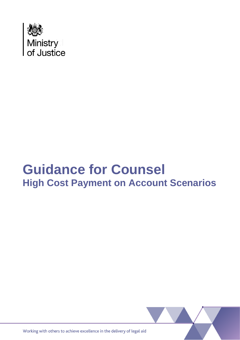

# **Guidance for Counsel High Cost Payment on Account Scenarios**



Working with others to achieve excellence in the delivery of legal aid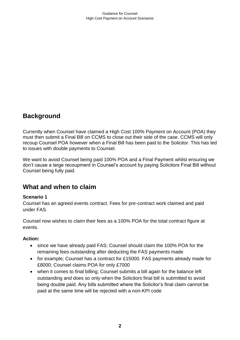# **Background**

Currently when Counsel have claimed a High Cost 100% Payment on Account (POA) they must then submit a Final Bill on CCMS to close out their side of the case. CCMS will only recoup Counsel POA however when a Final Bill has been paid to the Solicitor. This has led to issues with double payments to Counsel.

We want to avoid Counsel being paid 100% POA and a Final Payment whilst ensuring we don't cause a large recoupment in Counsel's account by paying Solicitors Final Bill without Counsel being fully paid.

## **What and when to claim**

#### **Scenario 1**

Counsel has an agreed events contract. Fees for pre-contract work claimed and paid under FAS.

Counsel now wishes to claim their fees as a 100% POA for the total contract figure at events.

#### **Action:**

- since we have already paid FAS; Counsel should claim the 100% POA for the remaining fees outstanding after deducting the FAS payments made
- for example; Counsel has a contract for £15000. FAS payments already made for £8000; Counsel claims POA for only £7000
- when it comes to final billing; Counsel submits a bill again for the balance left outstanding and does so only when the Solicitors final bill is submitted to avoid being double paid. Any bills submitted where the Solicitor's final claim cannot be paid at the same time will be rejected with a non-KPI code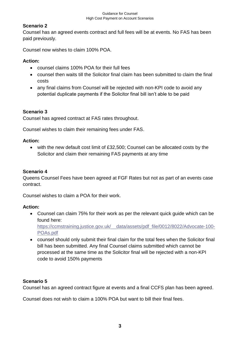#### Guidance for Counsel High Cost Payment on Account Scenarios

## **Scenario 2**

Counsel has an agreed events contract and full fees will be at events. No FAS has been paid previously.

Counsel now wishes to claim 100% POA.

#### **Action:**

- counsel claims 100% POA for their full fees
- counsel then waits till the Solicitor final claim has been submitted to claim the final costs
- any final claims from Counsel will be rejected with non-KPI code to avoid any potential duplicate payments if the Solicitor final bill isn't able to be paid

### **Scenario 3**

Counsel has agreed contract at FAS rates throughout.

Counsel wishes to claim their remaining fees under FAS.

#### **Action:**

• with the new default cost limit of £32,500; Counsel can be allocated costs by the Solicitor and claim their remaining FAS payments at any time

#### **Scenario 4**

Queens Counsel Fees have been agreed at FGF Rates but not as part of an events case contract.

Counsel wishes to claim a POA for their work.

#### **Action:**

• Counsel can claim 75% for their work as per the relevant quick guide which can be found here:

[https://ccmstraining.justice.gov.uk/\\_\\_data/assets/pdf\\_file/0012/8022/Advocate-100-](https://ccmstraining.justice.gov.uk/__data/assets/pdf_file/0012/8022/Advocate-100-POAs.pdf) [POAs.pdf](https://ccmstraining.justice.gov.uk/__data/assets/pdf_file/0012/8022/Advocate-100-POAs.pdf)

• counsel should only submit their final claim for the total fees when the Solicitor final bill has been submitted. Any final Counsel claims submitted which cannot be processed at the same time as the Solicitor final will be rejected with a non-KPI code to avoid 150% payments

#### **Scenario 5**

Counsel has an agreed contract figure at events and a final CCFS plan has been agreed.

Counsel does not wish to claim a 100% POA but want to bill their final fees.